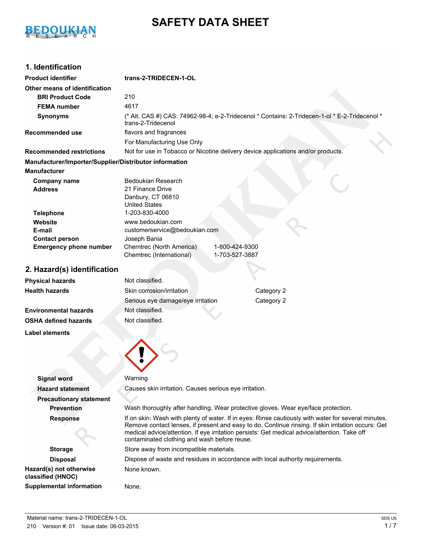

# **SAFETY DATA SHEET**

# **1. Identification**

| <b>Product identifier</b>                              | trans-2-TRIDECEN-1-OL                                                                                                                                                                              |  |
|--------------------------------------------------------|----------------------------------------------------------------------------------------------------------------------------------------------------------------------------------------------------|--|
| Other means of identification                          |                                                                                                                                                                                                    |  |
| <b>BRI Product Code</b>                                | 210                                                                                                                                                                                                |  |
| <b>FEMA</b> number                                     | 4617                                                                                                                                                                                               |  |
| <b>Synonyms</b>                                        | (* Alt. CAS #) CAS: 74962-98-4; e-2-Tridecenol * Contains: 2-Tridecen-1-ol * E-2-Tridecenol *<br>trans-2-Tridecenol                                                                                |  |
| <b>Recommended use</b>                                 | flavors and fragrances                                                                                                                                                                             |  |
|                                                        | For Manufacturing Use Only                                                                                                                                                                         |  |
| <b>Recommended restrictions</b>                        | Not for use in Tobacco or Nicotine delivery device applications and/or products.                                                                                                                   |  |
| Manufacturer/Importer/Supplier/Distributor information |                                                                                                                                                                                                    |  |
| <b>Manufacturer</b>                                    |                                                                                                                                                                                                    |  |
| <b>Company name</b>                                    | <b>Bedoukian Research</b>                                                                                                                                                                          |  |
| <b>Address</b>                                         | 21 Finance Drive                                                                                                                                                                                   |  |
|                                                        | Danbury, CT 06810                                                                                                                                                                                  |  |
|                                                        | <b>United States</b><br>1-203-830-4000                                                                                                                                                             |  |
| <b>Telephone</b><br>Website                            | www.bedoukian.com                                                                                                                                                                                  |  |
| E-mail                                                 | customerservice@bedoukian.com                                                                                                                                                                      |  |
| <b>Contact person</b>                                  | Joseph Bania                                                                                                                                                                                       |  |
| <b>Emergency phone number</b>                          | Chemtrec (North America)<br>1-800-424-9300                                                                                                                                                         |  |
|                                                        | Chemtrec (International)<br>1-703-527-3887                                                                                                                                                         |  |
| 2. Hazard(s) identification                            |                                                                                                                                                                                                    |  |
|                                                        | Not classified.                                                                                                                                                                                    |  |
| <b>Physical hazards</b>                                |                                                                                                                                                                                                    |  |
| <b>Health hazards</b>                                  | Category 2<br>Skin corrosion/irritation                                                                                                                                                            |  |
|                                                        | Category 2<br>Serious eye damage/eye irritation                                                                                                                                                    |  |
| <b>Environmental hazards</b>                           | Not classified.                                                                                                                                                                                    |  |
| <b>OSHA defined hazards</b>                            | Not classified.                                                                                                                                                                                    |  |
| Label elements                                         |                                                                                                                                                                                                    |  |
|                                                        |                                                                                                                                                                                                    |  |
|                                                        |                                                                                                                                                                                                    |  |
|                                                        |                                                                                                                                                                                                    |  |
|                                                        |                                                                                                                                                                                                    |  |
| <b>Signal word</b>                                     | Warning                                                                                                                                                                                            |  |
| <b>Hazard statement</b>                                | Causes skin irritation. Causes serious eye irritation.                                                                                                                                             |  |
| <b>Precautionary statement</b>                         |                                                                                                                                                                                                    |  |
| <b>Prevention</b>                                      | Wash thoroughly after handling. Wear protective gloves. Wear eye/face protection.                                                                                                                  |  |
| <b>Response</b>                                        | If on skin: Wash with plenty of water. If in eyes: Rinse cautiously with water for several minutes.                                                                                                |  |
|                                                        | Remove contact lenses, if present and easy to do. Continue rinsing. If skin irritation occurs: Get<br>medical advice/attention. If eye irritation persists: Get medical advice/attention. Take off |  |
|                                                        | contaminated clothing and wash before reuse.                                                                                                                                                       |  |
| <b>Storage</b>                                         | Store away from incompatible materials.                                                                                                                                                            |  |
| <b>Disposal</b>                                        | Dispose of waste and residues in accordance with local authority requirements.                                                                                                                     |  |
| Hazard(s) not otherwise<br>classified (HNOC)           | None known.                                                                                                                                                                                        |  |
| <b>Supplemental information</b>                        | None.                                                                                                                                                                                              |  |
|                                                        |                                                                                                                                                                                                    |  |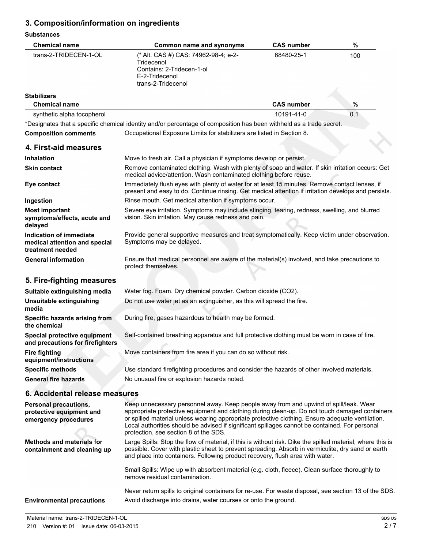# **3. Composition/information on ingredients**

#### **Substances**

| <b>Chemical name</b>                                                             | <b>Common name and synonyms</b>                                                                                                                                                                                                                                                                                                                                                                                                        | <b>CAS number</b> | $\%$ |
|----------------------------------------------------------------------------------|----------------------------------------------------------------------------------------------------------------------------------------------------------------------------------------------------------------------------------------------------------------------------------------------------------------------------------------------------------------------------------------------------------------------------------------|-------------------|------|
| trans-2-TRIDECEN-1-OL                                                            | (* Alt. CAS #) CAS: 74962-98-4; e-2-<br>Tridecenol<br>Contains: 2-Tridecen-1-ol<br>E-2-Tridecenol<br>trans-2-Tridecenol                                                                                                                                                                                                                                                                                                                | 68480-25-1        | 100  |
| <b>Stabilizers</b>                                                               |                                                                                                                                                                                                                                                                                                                                                                                                                                        |                   |      |
| <b>Chemical name</b>                                                             |                                                                                                                                                                                                                                                                                                                                                                                                                                        | <b>CAS number</b> | $\%$ |
| synthetic alpha tocopherol                                                       |                                                                                                                                                                                                                                                                                                                                                                                                                                        | 10191-41-0        | 0.1  |
|                                                                                  | *Designates that a specific chemical identity and/or percentage of composition has been withheld as a trade secret.                                                                                                                                                                                                                                                                                                                    |                   |      |
| <b>Composition comments</b>                                                      | Occupational Exposure Limits for stabilizers are listed in Section 8.                                                                                                                                                                                                                                                                                                                                                                  |                   |      |
| 4. First-aid measures                                                            |                                                                                                                                                                                                                                                                                                                                                                                                                                        |                   |      |
| <b>Inhalation</b>                                                                | Move to fresh air. Call a physician if symptoms develop or persist.                                                                                                                                                                                                                                                                                                                                                                    |                   |      |
| <b>Skin contact</b>                                                              | Remove contaminated clothing. Wash with plenty of soap and water. If skin irritation occurs: Get<br>medical advice/attention. Wash contaminated clothing before reuse.                                                                                                                                                                                                                                                                 |                   |      |
| Eye contact                                                                      | Immediately flush eyes with plenty of water for at least 15 minutes. Remove contact lenses, if<br>present and easy to do. Continue rinsing. Get medical attention if irritation develops and persists.                                                                                                                                                                                                                                 |                   |      |
| Ingestion                                                                        | Rinse mouth. Get medical attention if symptoms occur.                                                                                                                                                                                                                                                                                                                                                                                  |                   |      |
| <b>Most important</b><br>symptoms/effects, acute and<br>delayed                  | Severe eye irritation. Symptoms may include stinging, tearing, redness, swelling, and blurred<br>vision. Skin irritation. May cause redness and pain.                                                                                                                                                                                                                                                                                  |                   |      |
| Indication of immediate<br>medical attention and special<br>treatment needed     | Provide general supportive measures and treat symptomatically. Keep victim under observation.<br>Symptoms may be delayed.                                                                                                                                                                                                                                                                                                              |                   |      |
| <b>General information</b>                                                       | Ensure that medical personnel are aware of the material(s) involved, and take precautions to<br>protect themselves.                                                                                                                                                                                                                                                                                                                    |                   |      |
| 5. Fire-fighting measures                                                        |                                                                                                                                                                                                                                                                                                                                                                                                                                        |                   |      |
| Suitable extinguishing media                                                     | Water fog. Foam. Dry chemical powder. Carbon dioxide (CO2).                                                                                                                                                                                                                                                                                                                                                                            |                   |      |
| Unsuitable extinguishing<br>media                                                | Do not use water jet as an extinguisher, as this will spread the fire.                                                                                                                                                                                                                                                                                                                                                                 |                   |      |
| Specific hazards arising from<br>the chemical                                    | During fire, gases hazardous to health may be formed.                                                                                                                                                                                                                                                                                                                                                                                  |                   |      |
| Special protective equipment<br>and precautions for firefighters                 | Self-contained breathing apparatus and full protective clothing must be worn in case of fire.                                                                                                                                                                                                                                                                                                                                          |                   |      |
| <b>Fire fighting</b><br>equipment/instructions                                   | Move containers from fire area if you can do so without risk.                                                                                                                                                                                                                                                                                                                                                                          |                   |      |
| <b>Specific methods</b>                                                          | Use standard firefighting procedures and consider the hazards of other involved materials.                                                                                                                                                                                                                                                                                                                                             |                   |      |
| <b>General fire hazards</b>                                                      | No unusual fire or explosion hazards noted.                                                                                                                                                                                                                                                                                                                                                                                            |                   |      |
| 6. Accidental release measures                                                   |                                                                                                                                                                                                                                                                                                                                                                                                                                        |                   |      |
| <b>Personal precautions,</b><br>protective equipment and<br>emergency procedures | Keep unnecessary personnel away. Keep people away from and upwind of spill/leak. Wear<br>appropriate protective equipment and clothing during clean-up. Do not touch damaged containers<br>or spilled material unless wearing appropriate protective clothing. Ensure adequate ventilation.<br>Local authorities should be advised if significant spillages cannot be contained. For personal<br>protection, see section 8 of the SDS. |                   |      |
| <b>Methods and materials for</b><br>containment and cleaning up                  | Large Spills: Stop the flow of material, if this is without risk. Dike the spilled material, where this is<br>possible. Cover with plastic sheet to prevent spreading. Absorb in vermiculite, dry sand or earth<br>and place into containers. Following product recovery, flush area with water.                                                                                                                                       |                   |      |
|                                                                                  | Small Spills: Wipe up with absorbent material (e.g. cloth, fleece). Clean surface thoroughly to<br>remove residual contamination.                                                                                                                                                                                                                                                                                                      |                   |      |
|                                                                                  | Never return spills to original containers for re-use. For waste disposal, see section 13 of the SDS.                                                                                                                                                                                                                                                                                                                                  |                   |      |
| <b>Environmental precautions</b>                                                 | Avoid discharge into drains, water courses or onto the ground.                                                                                                                                                                                                                                                                                                                                                                         |                   |      |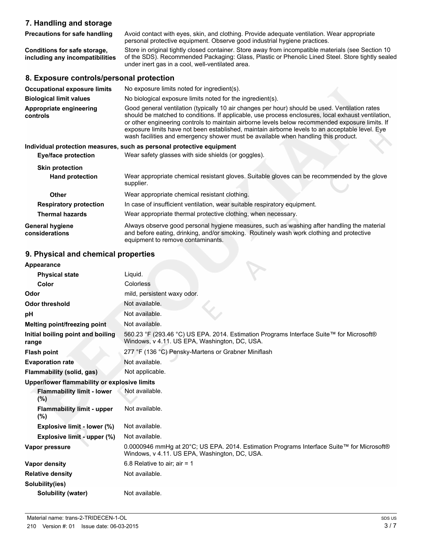# **7. Handling and storage**

**Precautions for safe handling** Avoid contact with eyes, skin, and clothing. Provide adequate ventilation. Wear appropriate personal protective equipment. Observe good industrial hygiene practices. **Conditions for safe storage, including any incompatibilities** Store in original tightly closed container. Store away from incompatible materials (see Section 10 of the SDS). Recommended Packaging: Glass, Plastic or Phenolic Lined Steel. Store tightly sealed under inert gas in a cool, well-ventilated area.

# **8. Exposure controls/personal protection**

| <b>Occupational exposure limits</b>      | No exposure limits noted for ingredient(s).                                                                                                                                                                                                                                                                                                                                                                                                                                                      |
|------------------------------------------|--------------------------------------------------------------------------------------------------------------------------------------------------------------------------------------------------------------------------------------------------------------------------------------------------------------------------------------------------------------------------------------------------------------------------------------------------------------------------------------------------|
| <b>Biological limit values</b>           | No biological exposure limits noted for the ingredient(s).                                                                                                                                                                                                                                                                                                                                                                                                                                       |
| Appropriate engineering<br>controls      | Good general ventilation (typically 10 air changes per hour) should be used. Ventilation rates<br>should be matched to conditions. If applicable, use process enclosures, local exhaust ventilation,<br>or other engineering controls to maintain airborne levels below recommended exposure limits. If<br>exposure limits have not been established, maintain airborne levels to an acceptable level. Eye<br>wash facilities and emergency shower must be available when handling this product. |
|                                          | Individual protection measures, such as personal protective equipment                                                                                                                                                                                                                                                                                                                                                                                                                            |
| <b>Eye/face protection</b>               | Wear safety glasses with side shields (or goggles).                                                                                                                                                                                                                                                                                                                                                                                                                                              |
| <b>Skin protection</b>                   |                                                                                                                                                                                                                                                                                                                                                                                                                                                                                                  |
| <b>Hand protection</b>                   | Wear appropriate chemical resistant gloves. Suitable gloves can be recommended by the glove<br>supplier.                                                                                                                                                                                                                                                                                                                                                                                         |
| Other                                    | Wear appropriate chemical resistant clothing.                                                                                                                                                                                                                                                                                                                                                                                                                                                    |
| <b>Respiratory protection</b>            | In case of insufficient ventilation, wear suitable respiratory equipment.                                                                                                                                                                                                                                                                                                                                                                                                                        |
| <b>Thermal hazards</b>                   | Wear appropriate thermal protective clothing, when necessary.                                                                                                                                                                                                                                                                                                                                                                                                                                    |
| <b>General hygiene</b><br>considerations | Always observe good personal hygiene measures, such as washing after handling the material<br>and before eating, drinking, and/or smoking. Routinely wash work clothing and protective<br>equipment to remove contaminants.                                                                                                                                                                                                                                                                      |

### **9. Physical and chemical properties**

| Appearance                                   |                                                                                                                                            |
|----------------------------------------------|--------------------------------------------------------------------------------------------------------------------------------------------|
| <b>Physical state</b>                        | Liquid.                                                                                                                                    |
| Color                                        | Colorless                                                                                                                                  |
| Odor                                         | mild, persistent waxy odor.                                                                                                                |
| <b>Odor threshold</b>                        | Not available.                                                                                                                             |
| pH                                           | Not available.                                                                                                                             |
| Melting point/freezing point                 | Not available.                                                                                                                             |
| Initial boiling point and boiling<br>range   | 560.23 °F (293.46 °C) US EPA. 2014. Estimation Programs Interface Suite™ for Microsoft®<br>Windows, v 4.11. US EPA, Washington, DC, USA.   |
| <b>Flash point</b>                           | 277 °F (136 °C) Pensky-Martens or Grabner Miniflash                                                                                        |
| <b>Evaporation rate</b>                      | Not available.                                                                                                                             |
| Flammability (solid, gas)                    | Not applicable.                                                                                                                            |
| Upper/lower flammability or explosive limits |                                                                                                                                            |
| <b>Flammability limit - lower</b><br>$(\%)$  | Not available.                                                                                                                             |
| <b>Flammability limit - upper</b><br>(%)     | Not available.                                                                                                                             |
| Explosive limit - lower (%)                  | Not available.                                                                                                                             |
| Explosive limit - upper (%)                  | Not available.                                                                                                                             |
| Vapor pressure                               | 0.0000946 mmHg at 20°C; US EPA. 2014. Estimation Programs Interface Suite™ for Microsoft®<br>Windows, v 4.11. US EPA, Washington, DC, USA. |
| <b>Vapor density</b>                         | 6.8 Relative to air; air = $1$                                                                                                             |
| <b>Relative density</b>                      | Not available.                                                                                                                             |
| Solubility(ies)                              |                                                                                                                                            |
| <b>Solubility (water)</b>                    | Not available.                                                                                                                             |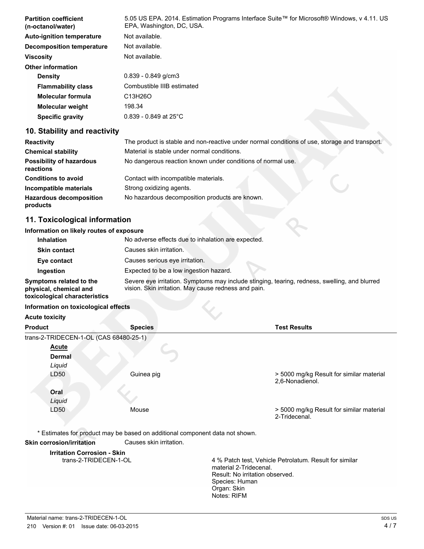| <b>Partition coefficient</b><br>(n-octanol/water) | 5.05 US EPA. 2014. Estimation Programs Interface Suite™ for Microsoft® Windows, v 4.11. US<br>EPA, Washington, DC, USA. |
|---------------------------------------------------|-------------------------------------------------------------------------------------------------------------------------|
| <b>Auto-ignition temperature</b>                  | Not available.                                                                                                          |
| Decomposition temperature                         | Not available.                                                                                                          |
| <b>Viscosity</b>                                  | Not available.                                                                                                          |
| <b>Other information</b>                          |                                                                                                                         |
| <b>Density</b>                                    | $0.839 - 0.849$ g/cm3                                                                                                   |
| <b>Flammability class</b>                         | Combustible IIIB estimated                                                                                              |
| Molecular formula                                 | C13H26O                                                                                                                 |
| <b>Molecular weight</b>                           | 198.34                                                                                                                  |
| <b>Specific gravity</b>                           | $0.839 - 0.849$ at 25°C                                                                                                 |

# **10. Stability and reactivity**

| <b>Reactivity</b>                            | The product is stable and non-reactive under normal conditions of use, storage and transport. |  |
|----------------------------------------------|-----------------------------------------------------------------------------------------------|--|
| <b>Chemical stability</b>                    | Material is stable under normal conditions.                                                   |  |
| <b>Possibility of hazardous</b><br>reactions | No dangerous reaction known under conditions of normal use.                                   |  |
| <b>Conditions to avoid</b>                   | Contact with incompatible materials.                                                          |  |
| Incompatible materials                       | Strong oxidizing agents.                                                                      |  |
| <b>Hazardous decomposition</b><br>products   | No hazardous decomposition products are known.                                                |  |

# **11. Toxicological information**

#### **Information on likely routes of exposure**

| <b>Inhalation</b>                                                                  | No adverse effects due to inhalation are expected.                                                                                                    |  |
|------------------------------------------------------------------------------------|-------------------------------------------------------------------------------------------------------------------------------------------------------|--|
| <b>Skin contact</b>                                                                | Causes skin irritation.                                                                                                                               |  |
| Eye contact                                                                        | Causes serious eye irritation.                                                                                                                        |  |
| Ingestion                                                                          | Expected to be a low ingestion hazard.                                                                                                                |  |
| Symptoms related to the<br>physical, chemical and<br>toxicological characteristics | Severe eye irritation. Symptoms may include stinging, tearing, redness, swelling, and blurred<br>vision. Skin irritation. May cause redness and pain. |  |

#### **Information on toxicological effects Acute toxicity**

| <b>ACULT LUAILITY</b>                  |                |                                                             |
|----------------------------------------|----------------|-------------------------------------------------------------|
| <b>Product</b>                         | <b>Species</b> | <b>Test Results</b>                                         |
| trans-2-TRIDECEN-1-OL (CAS 68480-25-1) |                |                                                             |
| <b>Acute</b>                           |                |                                                             |
| <b>Dermal</b>                          |                |                                                             |
| Liquid                                 |                |                                                             |
| LD50                                   | Guinea pig     | > 5000 mg/kg Result for similar material<br>2,6-Nonadienol. |
| Oral                                   |                |                                                             |
| Liquid                                 |                |                                                             |
| LD50                                   | Mouse          | > 5000 mg/kg Result for similar material<br>2-Tridecenal.   |

\* Estimates for product may be based on additional component data not shown.

#### **Skin corrosion/irritation** Causes skin irritation.

**Irritation Corrosion - Skin**

4 % Patch test, Vehicle Petrolatum. Result for similar material 2-Tridecenal. Result: No irritation observed. Species: Human Organ: Skin Notes: RIFM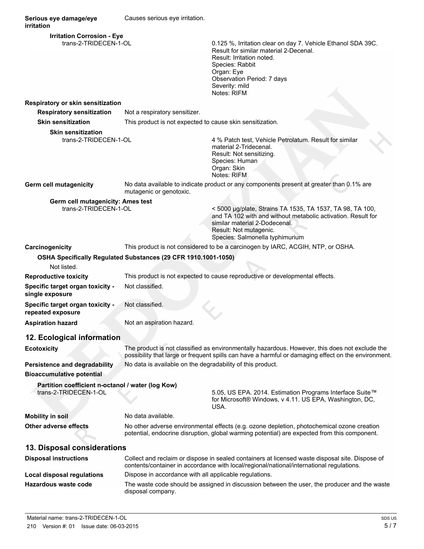**Serious eye damage/eye irritation** Causes serious eye irritation. **Irritation Corrosion - Eye** trans-2-TRIDECEN-1-OL 0.125 %, Irritation clear on day 7. Vehicle Ethanol SDA 39C. Result for similar material 2-Decenal. Result: Irritation noted. Species: Rabbit Organ: Eye Observation Period: 7 days Severity: mild Notes: RIFM **Respiratory or skin sensitization Respiratory sensitization** Not a respiratory sensitizer. **Skin sensitization** This product is not expected to cause skin sensitization. **Skin sensitization** trans-2-TRIDECEN-1-OL 4 % Patch test, Vehicle Petrolatum. Result for similar material 2-Tridecenal. Result: Not sensitizing. Species: Human Organ: Skin Notes: RIFM **Germ cell mutagenicity** No data available to indicate product or any components present at greater than 0.1% are mutagenic or genotoxic. **Germ cell mutagenicity: Ames test** trans-2-TRIDECEN-1-OL < 5000 µg/plate, Strains TA 1535, TA 1537, TA 98, TA 100, and TA 102 with and without metabolic activation. Result for similar material 2-Dodecenal. Result: Not mutagenic. Species: Salmonella typhimurium **Carcinogenicity** This product is not considered to be a carcinogen by IARC, ACGIH, NTP, or OSHA. **OSHA Specifically Regulated Substances (29 CFR 1910.1001-1050)** Not listed. **Reproductive toxicity** This product is not expected to cause reproductive or developmental effects. **Specific target organ toxicity single exposure** Not classified. **Specific target organ toxicity repeated exposure** Not classified. **Aspiration hazard** Not an aspiration hazard. **12. Ecological information Ecotoxicity** The product is not classified as environmentally hazardous. However, this does not exclude the possibility that large or frequent spills can have a harmful or damaging effect on the environment. **Persistence and degradability** No data is available on the degradability of this product. **Bioaccumulative potential Partition coefficient n-octanol / water (log Kow)** 5.05, US EPA. 2014. Estimation Programs Interface Suite™ for Microsoft® Windows, v 4.11. US EPA, Washington, DC, USA. **Mobility in soil** No data available. **Other adverse effects** No other adverse environmental effects (e.g. ozone depletion, photochemical ozone creation potential, endocrine disruption, global warming potential) are expected from this component. **13. Disposal considerations Disposal instructions** Collect and reclaim or dispose in sealed containers at licensed waste disposal site. Dispose of contents/container in accordance with local/regional/national/international regulations. **Local disposal regulations** Dispose in accordance with all applicable regulations. **Hazardous waste code** The waste code should be assigned in discussion between the user, the producer and the waste disposal company.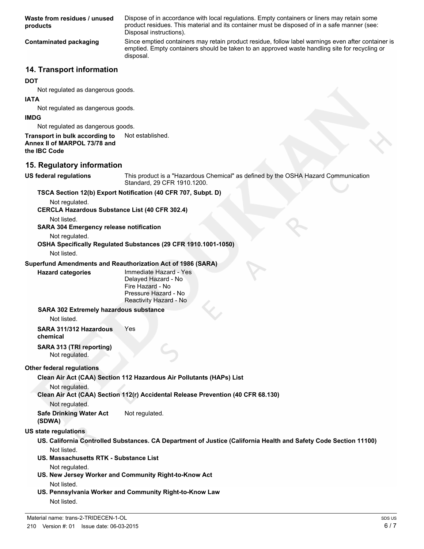**Waste from residues / unused products**

Dispose of in accordance with local regulations. Empty containers or liners may retain some product residues. This material and its container must be disposed of in a safe manner (see: Disposal instructions).

**Contaminated packaging** Since emptied containers may retain product residue, follow label warnings even after container is emptied. Empty containers should be taken to an approved waste handling site for recycling or disposal.

### **14. Transport information**

#### **DOT**

Not regulated as dangerous goods.

#### **IATA**

Not regulated as dangerous goods.

#### **IMDG**

Not regulated as dangerous goods.

#### **Transport in bulk according to** Not established. **Annex II of MARPOL 73/78 and the IBC Code**

# **15. Regulatory information**

**US federal regulations** This product is a "Hazardous Chemical" as defined by the OSHA Hazard Communication Standard, 29 CFR 1910.1200.

# **TSCA Section 12(b) Export Notification (40 CFR 707, Subpt. D)**

Not regulated.

**CERCLA Hazardous Substance List (40 CFR 302.4)**

Not listed.

**SARA 304 Emergency release notification**

Not regulated.

**OSHA Specifically Regulated Substances (29 CFR 1910.1001-1050)**

Not listed.

### **Superfund Amendments and Reauthorization Act of 1986 (SARA)**

**Hazard categories** Immediate Hazard - Yes Delayed Hazard - No Fire Hazard - No Pressure Hazard - No Reactivity Hazard - No

### **SARA 302 Extremely hazardous substance**

Not listed.

**SARA 311/312 Hazardous chemical** Yes

#### **SARA 313 (TRI reporting)** Not regulated.

### **Other federal regulations**

**Clean Air Act (CAA) Section 112 Hazardous Air Pollutants (HAPs) List**

Not regulated.

**Clean Air Act (CAA) Section 112(r) Accidental Release Prevention (40 CFR 68.130)**

Not regulated.

**Safe Drinking Water Act (SDWA)** Not regulated.

# **US state regulations**

- **US. California Controlled Substances. CA Department of Justice (California Health and Safety Code Section 11100)** Not listed.
- **US. Massachusetts RTK Substance List**

Not regulated.

- **US. New Jersey Worker and Community Right-to-Know Act** Not listed.
- **US. Pennsylvania Worker and Community Right-to-Know Law** Not listed.